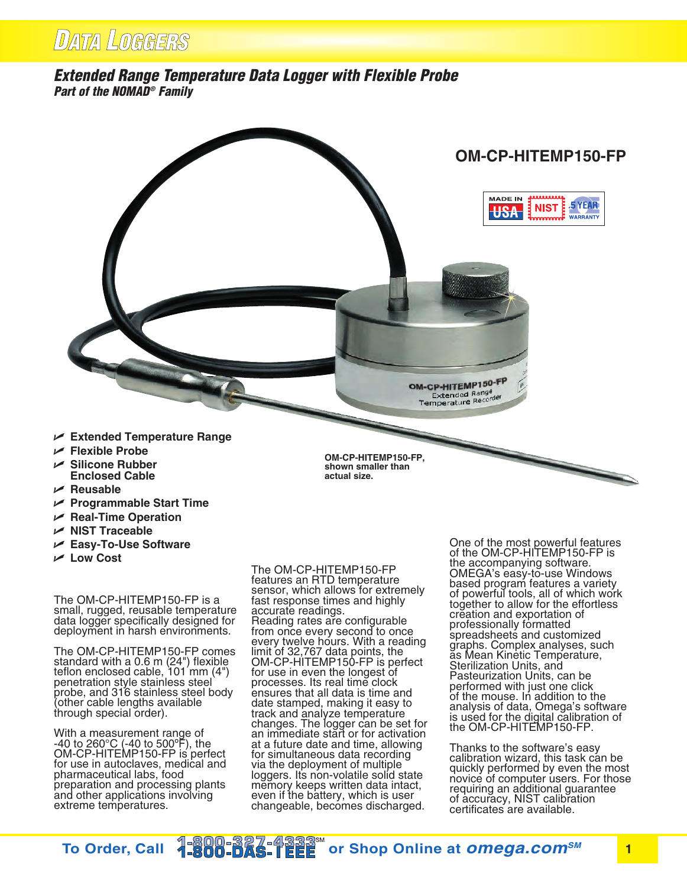## *Extended Range Temperature Data Logger with Flexible Probe Part of the NOMAD® Family*



- **Silicone Rubber Enclosed Cable**
- **Reusable**
- **Programmable Start Time**
- $⊬$  **Real-Time Operation**
- **NIST Traceable**
- **Easy-To-Use Software**
- **Low Cost**

The OM-CP-HITEMP150-FP is a small, rugged, reusable temperature data logger specifically designed for deployment in harsh environments.

The OM-CP-HITEMP150-FP comes standard with a 0.6 m (24") flexible teflon enclosed cable, 101 mm (4") penetration style stainless steel probe, and 316 stainless steel body (other cable lengths available through special order).

With a measurement range of -40 to 260°C (-40 to 500ºF), the OM-CP-HITEMP150-FP is perfect for use in autoclaves, medical and pharmaceutical labs, food preparation and processing plants and other applications involving extreme temperatures.

**shown smaller than actual size.**

The OM-CP-HITEMP150-FP features an RTD temperature sensor, which allows for extremely fast response times and highly accurate readings. Reading rates are configurable from once every second to once every twelve hours. With a reading limit of 32,767 data points, the OM-CP-HITEMP150-FP is perfect for use in even the longest of processes. Its real time clock ensures that all data is time and date stamped, making it easy to track and analyze temperature changes. The logger can be set for an immediate start or for activation at a future date and time, allowing for simultaneous data recording via the deployment of multiple loggers. Its non-volatile solid state memory keeps written data intact, even if the battery, which is user changeable, becomes discharged.

One of the most powerful features of the OM-CP-HITEMP150-FP is the accompanying software. OMEGA's easy-to-use Windows based program features a variety of powerful tools, all of which work together to allow for the effortless creation and exportation of professionally formatted spreadsheets and customized graphs. Complex analyses, such as Mean Kinetic Temperature, Sterilization Units, and Pasteurization Units, can be performed with just one click of the mouse. In addition to the analysis of data, Omega's software is used for the digital calibration of the OM-CP-HITEMP150-FP.

Thanks to the software's easy calibration wizard, this task can be quickly performed by even the most novice of computer users. For those requiring an additional guarantee of accuracy, NIST calibration certificates are available.